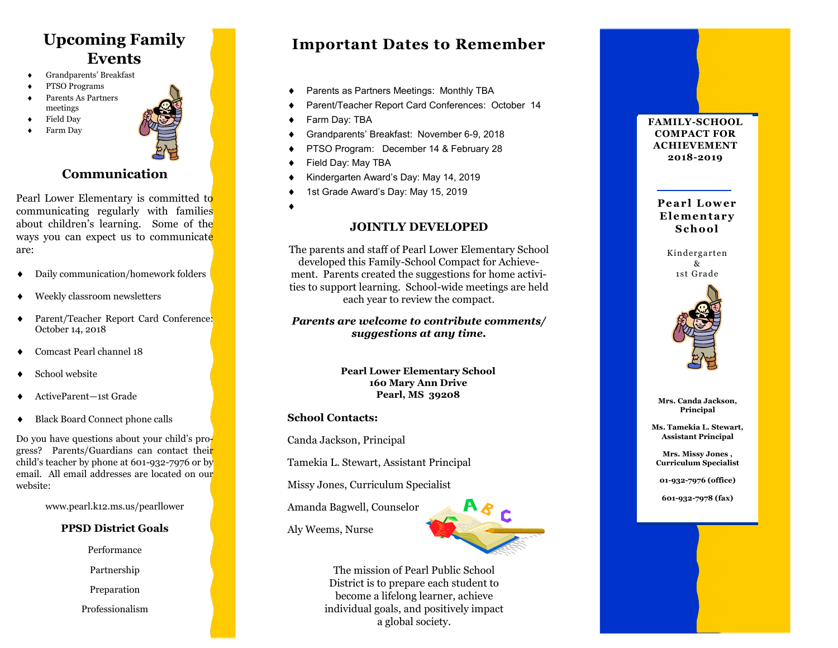# **Upcoming Family Events**

- Grandparents' Breakfast
- PTSO Programs
- Parents As Partners meetings
- Field Day
- Farm Day



# **Communication**

Pearl Lower Elementary is committed to communicating regularly with families about children's learning. Some of the ways you can expect us to communicate are:

- Daily communication/homework folders
- Weekly classroom newsletters
- ◆ Parent/Teacher Report Card Conference: October 14, 2018
- Comcast Pearl channel 18
- School website
- ActiveParent—1st Grade
- Black Board Connect phone calls

Do you have questions about your child's progress? Parents/Guardians can contact their child 's teacher by phone at 601 -932 -7976 or by email. All email addresses are located on our website:

www.pearl.k12.ms.us/pearllower

#### **PPSD District Goals**

Performance

Partnership

Preparation

Professionalism

# **Important Dates to Remember**

- Parents as Partners Meetings: Monthly TBA
- Parent/Teacher Report Card Conferences: October 14
- ◆ Farm Day: TBA
- Grandparents' Breakfast: November 6-9, 2018
- PTSO Program: December 14 & February 28
- ◆ Field Day: May TBA
- Kindergarten Award's Day: May 14, 2019
- 1st Grade Award's Day: May 15, 2019
- $\blacklozenge$

#### **JOINTLY DEVELOPED**

The parents and staff of Pearl Lower Elementary School developed this Family -School Compact for Achievement. Parents created the suggestions for home activities to support learning. School-wide meetings are held each year to review the compact.

#### *Parents are welcome to contribute comments/ suggestions at any time.*

**Pearl Lower Elementary School 160 Mary Ann Drive Pearl, MS 39208**

#### **School Contacts:**

Canda Jackson, Principal

Tamekia L. Stewart, Assistant Principal

Missy Jones, Curriculum Specialist

Amanda Bagwell, Counselor

Aly Weems, Nurse



The mission of Pearl Public School District is to prepare each student to become a lifelong learner, achieve individual goals, and positively impact a global society.

**FAMILY -SCHOOL COMPACT FOR ACHIEVEMENT 2018 -2019**

**P e ar l L ow er**  Elementary **S c h o ol**

Kinderga rten & 1st Gra de



**Mrs. Canda Jackson, Principal**

**Ms. Tamekia L. Stewart, Assistant Principal**

**Mrs. Missy Jones , Curriculum Specialist**

**01 -932 -7976 (office)**

**601 -932 -7978 (fax)**